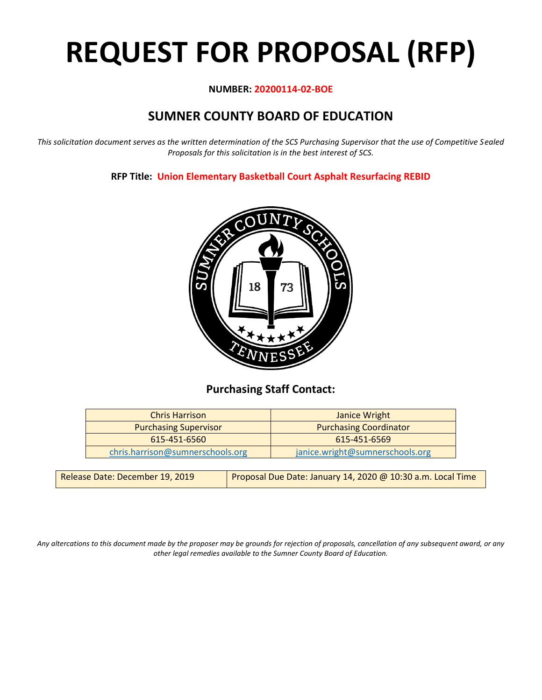# **REQUEST FOR PROPOSAL (RFP)**

#### **NUMBER: 20200114-02-BOE**

# **SUMNER COUNTY BOARD OF EDUCATION**

*This solicitation document serves as the written determination of the SCS Purchasing Supervisor that the use of Competitive Sealed Proposals for this solicitation is in the best interest of SCS.*

**RFP Title: Union Elementary Basketball Court Asphalt Resurfacing REBID**



## **Purchasing Staff Contact:**

| <b>Chris Harrison</b>            | Janice Wright                   |
|----------------------------------|---------------------------------|
| <b>Purchasing Supervisor</b>     | <b>Purchasing Coordinator</b>   |
| 615-451-6560                     | 615-451-6569                    |
| chris.harrison@sumnerschools.org | janice.wright@sumnerschools.org |
|                                  |                                 |

| Release Date: December 19, 2019 | Proposal Due Date: January 14, 2020 @ 10:30 a.m. Local Time |
|---------------------------------|-------------------------------------------------------------|
|---------------------------------|-------------------------------------------------------------|

*Any altercations to this document made by the proposer may be grounds for rejection of proposals, cancellation of any subsequent award, or any other legal remedies available to the Sumner County Board of Education.*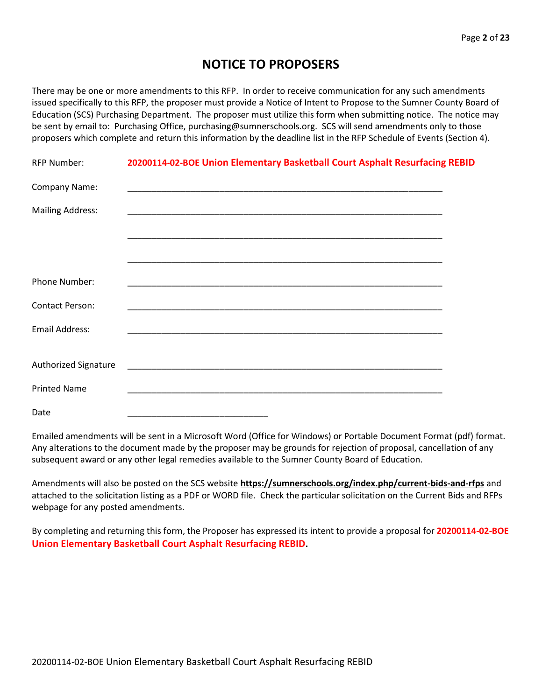## **NOTICE TO PROPOSERS**

There may be one or more amendments to this RFP. In order to receive communication for any such amendments issued specifically to this RFP, the proposer must provide a Notice of Intent to Propose to the Sumner County Board of Education (SCS) Purchasing Department. The proposer must utilize this form when submitting notice. The notice may be sent by email to: Purchasing Office, purchasing@sumnerschools.org. SCS will send amendments only to those proposers which complete and return this information by the deadline list in the RFP Schedule of Events (Section 4).

| <b>RFP Number:</b>      | 20200114-02-BOE Union Elementary Basketball Court Asphalt Resurfacing REBID |
|-------------------------|-----------------------------------------------------------------------------|
| Company Name:           |                                                                             |
| <b>Mailing Address:</b> |                                                                             |
|                         |                                                                             |
|                         |                                                                             |
| <b>Phone Number:</b>    |                                                                             |
| <b>Contact Person:</b>  |                                                                             |
| <b>Email Address:</b>   |                                                                             |
|                         |                                                                             |
| Authorized Signature    | <u> 1999 - Jan Amerikaanse kommunister († 1958)</u>                         |
| <b>Printed Name</b>     |                                                                             |
| Date                    |                                                                             |

Emailed amendments will be sent in a Microsoft Word (Office for Windows) or Portable Document Format (pdf) format. Any alterations to the document made by the proposer may be grounds for rejection of proposal, cancellation of any subsequent award or any other legal remedies available to the Sumner County Board of Education.

Amendments will also be posted on the SCS website **https://sumnerschools.org/index.php/current-bids-and-rfps** and attached to the solicitation listing as a PDF or WORD file. Check the particular solicitation on the Current Bids and RFPs webpage for any posted amendments.

By completing and returning this form, the Proposer has expressed its intent to provide a proposal for **20200114-02-BOE Union Elementary Basketball Court Asphalt Resurfacing REBID.**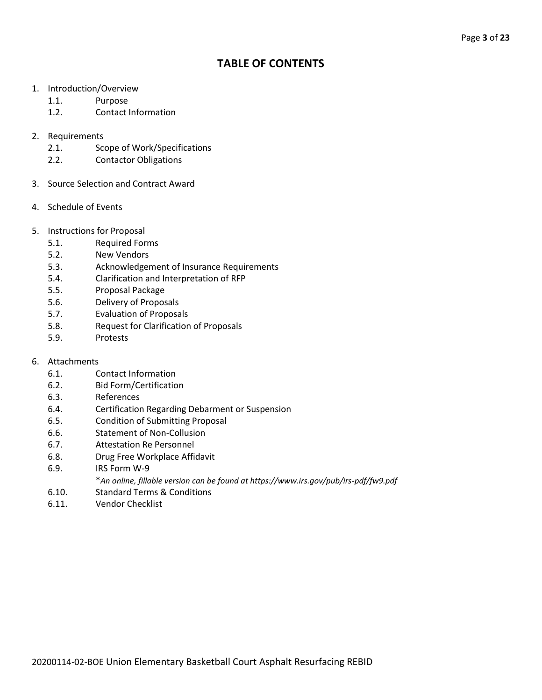## **TABLE OF CONTENTS**

- 1. Introduction/Overview
	- 1.1. Purpose
	- 1.2. Contact Information
- 2. Requirements
	- 2.1. Scope of Work/Specifications
	- 2.2. Contactor Obligations
- 3. Source Selection and Contract Award
- 4. Schedule of Events
- 5. Instructions for Proposal
	- 5.1. Required Forms
	- 5.2. New Vendors
	- 5.3. Acknowledgement of Insurance Requirements
	- 5.4. Clarification and Interpretation of RFP
	- 5.5. Proposal Package
	- 5.6. Delivery of Proposals
	- 5.7. Evaluation of Proposals
	- 5.8. Request for Clarification of Proposals
	- 5.9. Protests
- 6. Attachments
	- 6.1. Contact Information
	- 6.2. Bid Form/Certification
	- 6.3. References
	- 6.4. Certification Regarding Debarment or Suspension
	- 6.5. Condition of Submitting Proposal
	- 6.6. Statement of Non-Collusion
	- 6.7. Attestation Re Personnel
	- 6.8. Drug Free Workplace Affidavit
	- 6.9. IRS Form W-9
		- \**An online, fillable version can be found at https://www.irs.gov/pub/irs-pdf/fw9.pdf*
	- 6.10. Standard Terms & Conditions
	- 6.11. Vendor Checklist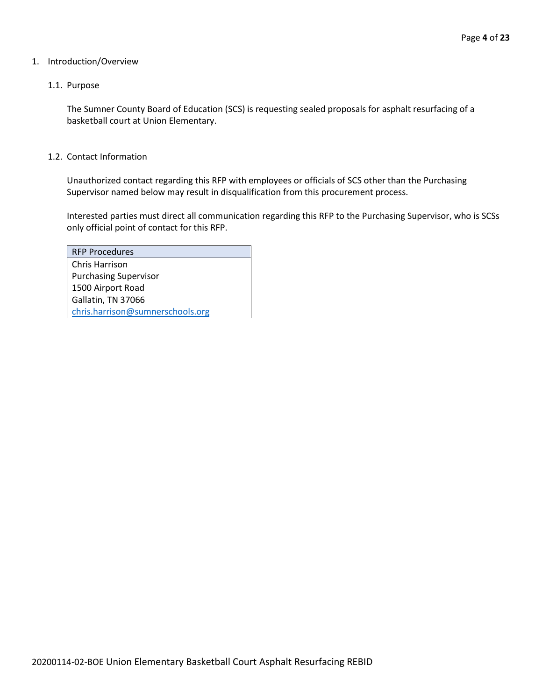#### 1. Introduction/Overview

#### 1.1. Purpose

The Sumner County Board of Education (SCS) is requesting sealed proposals for asphalt resurfacing of a basketball court at Union Elementary.

#### 1.2. Contact Information

Unauthorized contact regarding this RFP with employees or officials of SCS other than the Purchasing Supervisor named below may result in disqualification from this procurement process.

Interested parties must direct all communication regarding this RFP to the Purchasing Supervisor, who is SCSs only official point of contact for this RFP.

| <b>RFP Procedures</b>            |
|----------------------------------|
| Chris Harrison                   |
| <b>Purchasing Supervisor</b>     |
| 1500 Airport Road                |
| Gallatin, TN 37066               |
| chris.harrison@sumnerschools.org |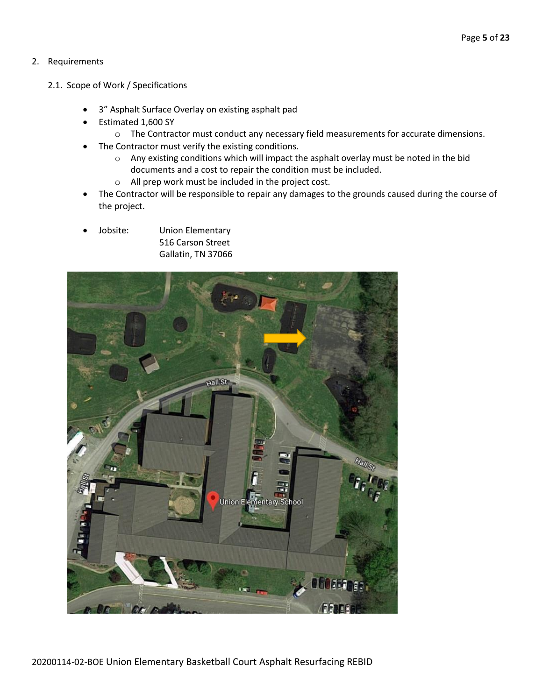#### 2. Requirements

- 2.1. Scope of Work / Specifications
	- 3" Asphalt Surface Overlay on existing asphalt pad
	- Estimated 1,600 SY
		- o The Contractor must conduct any necessary field measurements for accurate dimensions.
	- The Contractor must verify the existing conditions.
		- o Any existing conditions which will impact the asphalt overlay must be noted in the bid documents and a cost to repair the condition must be included.
		- o All prep work must be included in the project cost.
	- The Contractor will be responsible to repair any damages to the grounds caused during the course of the project.
	- Jobsite: Union Elementary 516 Carson Street Gallatin, TN 37066

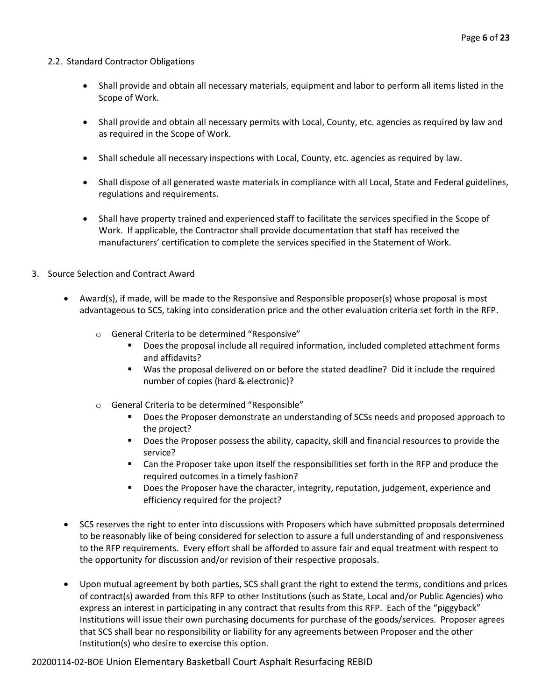#### 2.2. Standard Contractor Obligations

- Shall provide and obtain all necessary materials, equipment and labor to perform all items listed in the Scope of Work.
- Shall provide and obtain all necessary permits with Local, County, etc. agencies as required by law and as required in the Scope of Work.
- Shall schedule all necessary inspections with Local, County, etc. agencies as required by law.
- Shall dispose of all generated waste materials in compliance with all Local, State and Federal guidelines, regulations and requirements.
- Shall have property trained and experienced staff to facilitate the services specified in the Scope of Work. If applicable, the Contractor shall provide documentation that staff has received the manufacturers' certification to complete the services specified in the Statement of Work.
- 3. Source Selection and Contract Award
	- Award(s), if made, will be made to the Responsive and Responsible proposer(s) whose proposal is most advantageous to SCS, taking into consideration price and the other evaluation criteria set forth in the RFP.
		- o General Criteria to be determined "Responsive"
			- Does the proposal include all required information, included completed attachment forms and affidavits?
			- Was the proposal delivered on or before the stated deadline? Did it include the required number of copies (hard & electronic)?
		- o General Criteria to be determined "Responsible"
			- **•** Does the Proposer demonstrate an understanding of SCSs needs and proposed approach to the project?
			- Does the Proposer possess the ability, capacity, skill and financial resources to provide the service?
			- Can the Proposer take upon itself the responsibilities set forth in the RFP and produce the required outcomes in a timely fashion?
			- **■** Does the Proposer have the character, integrity, reputation, judgement, experience and efficiency required for the project?
	- SCS reserves the right to enter into discussions with Proposers which have submitted proposals determined to be reasonably like of being considered for selection to assure a full understanding of and responsiveness to the RFP requirements. Every effort shall be afforded to assure fair and equal treatment with respect to the opportunity for discussion and/or revision of their respective proposals.
	- Upon mutual agreement by both parties, SCS shall grant the right to extend the terms, conditions and prices of contract(s) awarded from this RFP to other Institutions (such as State, Local and/or Public Agencies) who express an interest in participating in any contract that results from this RFP. Each of the "piggyback" Institutions will issue their own purchasing documents for purchase of the goods/services. Proposer agrees that SCS shall bear no responsibility or liability for any agreements between Proposer and the other Institution(s) who desire to exercise this option.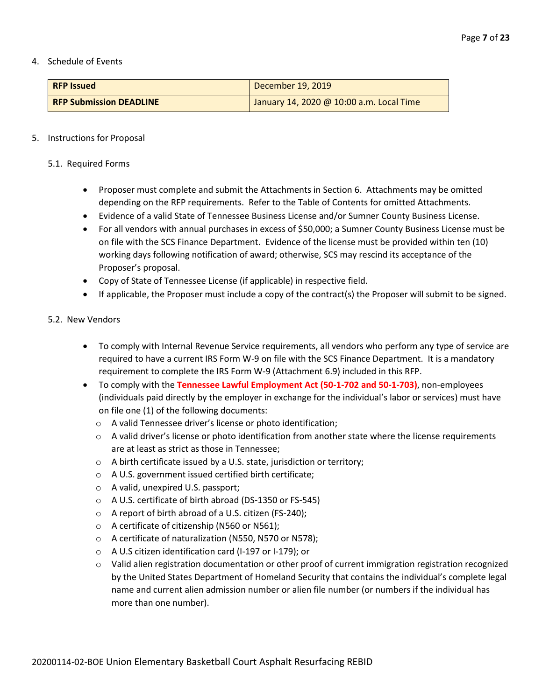#### 4. Schedule of Events

| <b>RFP Issued</b>              | December 19, 2019                        |
|--------------------------------|------------------------------------------|
| <b>RFP Submission DEADLINE</b> | January 14, 2020 @ 10:00 a.m. Local Time |

#### 5. Instructions for Proposal

#### 5.1. Required Forms

- Proposer must complete and submit the Attachments in Section 6. Attachments may be omitted depending on the RFP requirements. Refer to the Table of Contents for omitted Attachments.
- Evidence of a valid State of Tennessee Business License and/or Sumner County Business License.
- For all vendors with annual purchases in excess of \$50,000; a Sumner County Business License must be on file with the SCS Finance Department. Evidence of the license must be provided within ten (10) working days following notification of award; otherwise, SCS may rescind its acceptance of the Proposer's proposal.
- Copy of State of Tennessee License (if applicable) in respective field.
- If applicable, the Proposer must include a copy of the contract(s) the Proposer will submit to be signed.

#### 5.2. New Vendors

- To comply with Internal Revenue Service requirements, all vendors who perform any type of service are required to have a current IRS Form W-9 on file with the SCS Finance Department. It is a mandatory requirement to complete the IRS Form W-9 (Attachment 6.9) included in this RFP.
- To comply with the **Tennessee Lawful Employment Act (50-1-702 and 50-1-703)**, non-employees (individuals paid directly by the employer in exchange for the individual's labor or services) must have on file one (1) of the following documents:
	- o A valid Tennessee driver's license or photo identification;
	- $\circ$  A valid driver's license or photo identification from another state where the license requirements are at least as strict as those in Tennessee;
	- o A birth certificate issued by a U.S. state, jurisdiction or territory;
	- o A U.S. government issued certified birth certificate;
	- o A valid, unexpired U.S. passport;
	- o A U.S. certificate of birth abroad (DS-1350 or FS-545)
	- o A report of birth abroad of a U.S. citizen (FS-240);
	- o A certificate of citizenship (N560 or N561);
	- o A certificate of naturalization (N550, N570 or N578);
	- o A U.S citizen identification card (I-197 or I-179); or
	- o Valid alien registration documentation or other proof of current immigration registration recognized by the United States Department of Homeland Security that contains the individual's complete legal name and current alien admission number or alien file number (or numbers if the individual has more than one number).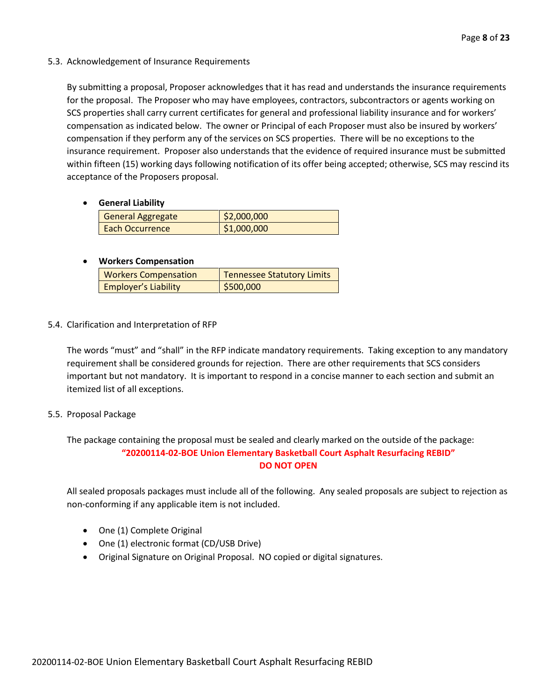5.3. Acknowledgement of Insurance Requirements

By submitting a proposal, Proposer acknowledges that it has read and understands the insurance requirements for the proposal. The Proposer who may have employees, contractors, subcontractors or agents working on SCS properties shall carry current certificates for general and professional liability insurance and for workers' compensation as indicated below. The owner or Principal of each Proposer must also be insured by workers' compensation if they perform any of the services on SCS properties. There will be no exceptions to the insurance requirement. Proposer also understands that the evidence of required insurance must be submitted within fifteen (15) working days following notification of its offer being accepted; otherwise, SCS may rescind its acceptance of the Proposers proposal.

• **General Liability**

| General Aggregate      | \$2,000,000 |
|------------------------|-------------|
| <b>Each Occurrence</b> | \$1,000,000 |

#### • **Workers Compensation**

| <b>Workers Compensation</b> | <b>Tennessee Statutory Limits</b> |  |
|-----------------------------|-----------------------------------|--|
| <b>Employer's Liability</b> | \$500,000                         |  |

5.4. Clarification and Interpretation of RFP

The words "must" and "shall" in the RFP indicate mandatory requirements. Taking exception to any mandatory requirement shall be considered grounds for rejection. There are other requirements that SCS considers important but not mandatory. It is important to respond in a concise manner to each section and submit an itemized list of all exceptions.

#### 5.5. Proposal Package

The package containing the proposal must be sealed and clearly marked on the outside of the package: **"20200114-02-BOE Union Elementary Basketball Court Asphalt Resurfacing REBID" DO NOT OPEN**

All sealed proposals packages must include all of the following. Any sealed proposals are subject to rejection as non-conforming if any applicable item is not included.

- One (1) Complete Original
- One (1) electronic format (CD/USB Drive)
- Original Signature on Original Proposal. NO copied or digital signatures.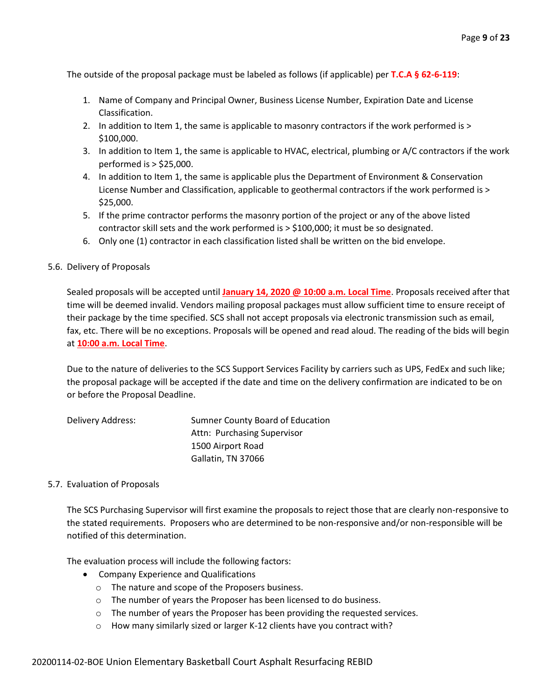The outside of the proposal package must be labeled as follows (if applicable) per **T.C.A § 62-6-119**:

- 1. Name of Company and Principal Owner, Business License Number, Expiration Date and License Classification.
- 2. In addition to Item 1, the same is applicable to masonry contractors if the work performed is > \$100,000.
- 3. In addition to Item 1, the same is applicable to HVAC, electrical, plumbing or A/C contractors if the work performed is > \$25,000.
- 4. In addition to Item 1, the same is applicable plus the Department of Environment & Conservation License Number and Classification, applicable to geothermal contractors if the work performed is > \$25,000.
- 5. If the prime contractor performs the masonry portion of the project or any of the above listed contractor skill sets and the work performed is > \$100,000; it must be so designated.
- 6. Only one (1) contractor in each classification listed shall be written on the bid envelope.

#### 5.6. Delivery of Proposals

Sealed proposals will be accepted until **January 14, 2020 @ 10:00 a.m. Local Time**. Proposals received after that time will be deemed invalid. Vendors mailing proposal packages must allow sufficient time to ensure receipt of their package by the time specified. SCS shall not accept proposals via electronic transmission such as email, fax, etc. There will be no exceptions. Proposals will be opened and read aloud. The reading of the bids will begin at **10:00 a.m. Local Time**.

Due to the nature of deliveries to the SCS Support Services Facility by carriers such as UPS, FedEx and such like; the proposal package will be accepted if the date and time on the delivery confirmation are indicated to be on or before the Proposal Deadline.

| Delivery Address: | Sumner County Board of Education |
|-------------------|----------------------------------|
|                   | Attn: Purchasing Supervisor      |
|                   | 1500 Airport Road                |
|                   | Gallatin, TN 37066               |

#### 5.7. Evaluation of Proposals

The SCS Purchasing Supervisor will first examine the proposals to reject those that are clearly non-responsive to the stated requirements. Proposers who are determined to be non-responsive and/or non-responsible will be notified of this determination.

The evaluation process will include the following factors:

- Company Experience and Qualifications
	- o The nature and scope of the Proposers business.
	- o The number of years the Proposer has been licensed to do business.
	- o The number of years the Proposer has been providing the requested services.
	- o How many similarly sized or larger K-12 clients have you contract with?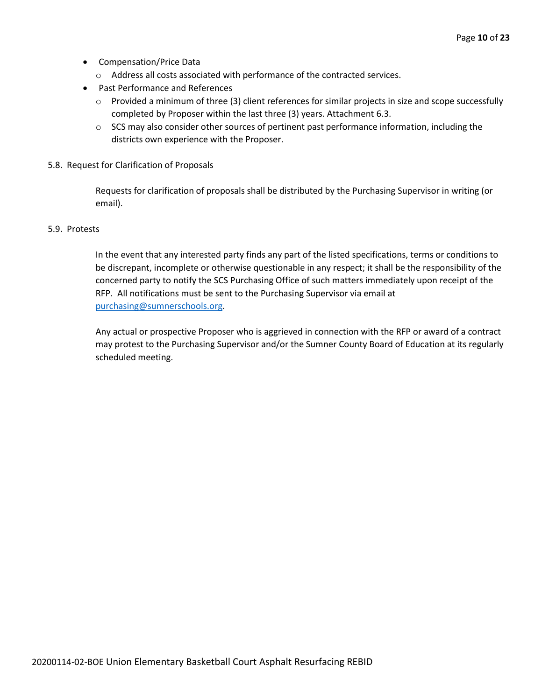- Compensation/Price Data
	- o Address all costs associated with performance of the contracted services.
- Past Performance and References
	- o Provided a minimum of three (3) client references for similar projects in size and scope successfully completed by Proposer within the last three (3) years. Attachment 6.3.
	- $\circ$  SCS may also consider other sources of pertinent past performance information, including the districts own experience with the Proposer.
- 5.8. Request for Clarification of Proposals

Requests for clarification of proposals shall be distributed by the Purchasing Supervisor in writing (or email).

#### 5.9. Protests

In the event that any interested party finds any part of the listed specifications, terms or conditions to be discrepant, incomplete or otherwise questionable in any respect; it shall be the responsibility of the concerned party to notify the SCS Purchasing Office of such matters immediately upon receipt of the RFP. All notifications must be sent to the Purchasing Supervisor via email at [purchasing@sumnerschools.org.](mailto:purchasing@sumnerschools.org)

Any actual or prospective Proposer who is aggrieved in connection with the RFP or award of a contract may protest to the Purchasing Supervisor and/or the Sumner County Board of Education at its regularly scheduled meeting.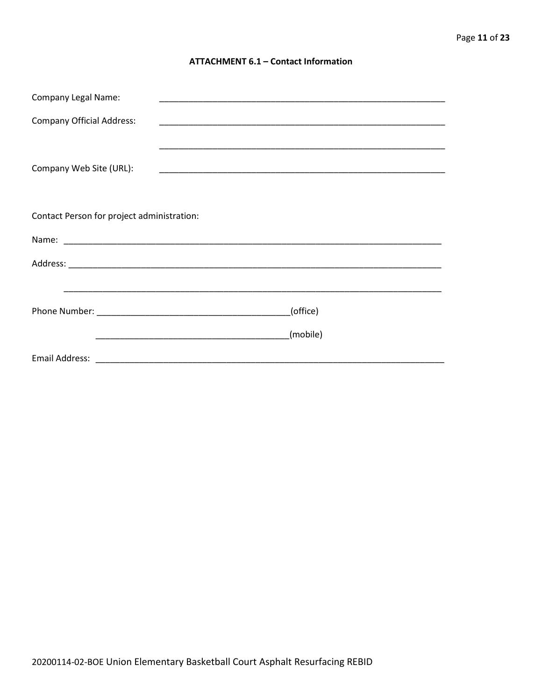#### **ATTACHMENT 6.1 - Contact Information**

| <b>Company Legal Name:</b>                 |          |  |
|--------------------------------------------|----------|--|
| <b>Company Official Address:</b>           |          |  |
|                                            |          |  |
| Company Web Site (URL):                    |          |  |
|                                            |          |  |
|                                            |          |  |
| Contact Person for project administration: |          |  |
|                                            |          |  |
|                                            |          |  |
|                                            |          |  |
|                                            | (office) |  |
|                                            |          |  |
|                                            | (mobile) |  |
|                                            |          |  |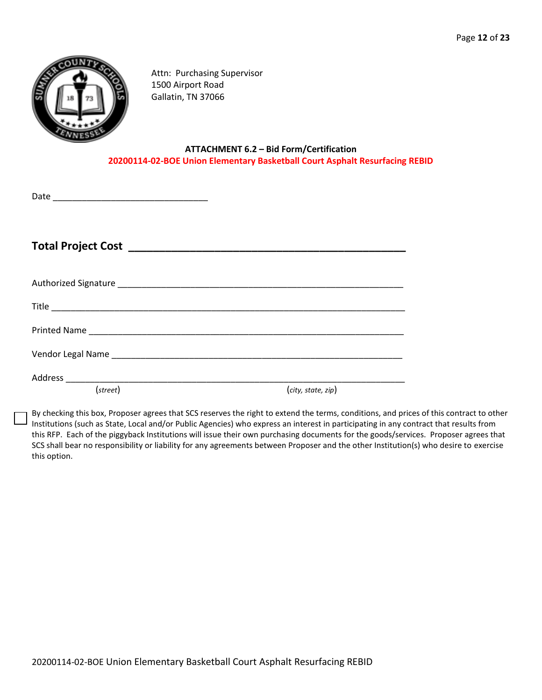

Attn: Purchasing Supervisor 1500 Airport Road Gallatin, TN 37066

#### **ATTACHMENT 6.2 – Bid Form/Certification 20200114-02-BOE Union Elementary Basketball Court Asphalt Resurfacing REBID**

| Date |  |  |  |  |
|------|--|--|--|--|
|      |  |  |  |  |

**Total Project Cost \_\_\_\_\_\_\_\_\_\_\_\_\_\_\_\_\_\_\_\_\_\_\_\_\_\_\_\_\_\_\_\_\_\_\_\_\_\_\_\_\_\_\_\_\_**

| Printed Name |                    |
|--------------|--------------------|
|              |                    |
| (street)     | (city, state, zip) |

By checking this box, Proposer agrees that SCS reserves the right to extend the terms, conditions, and prices of this contract to other Institutions (such as State, Local and/or Public Agencies) who express an interest in participating in any contract that results from this RFP. Each of the piggyback Institutions will issue their own purchasing documents for the goods/services. Proposer agrees that SCS shall bear no responsibility or liability for any agreements between Proposer and the other Institution(s) who desire to exercise this option.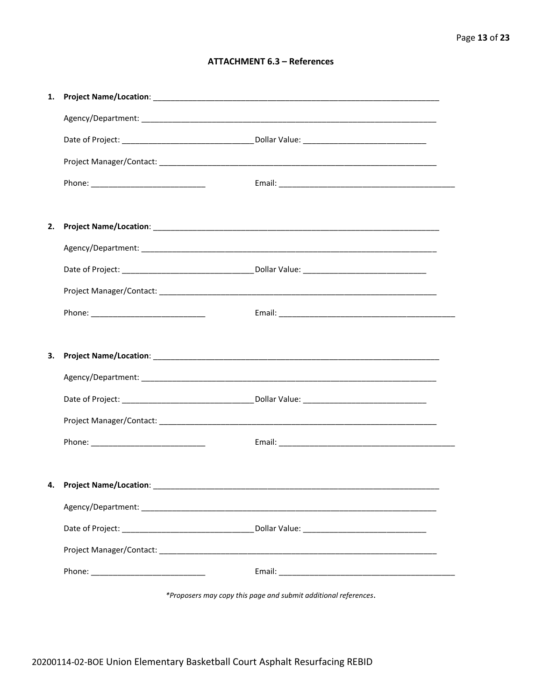#### **ATTACHMENT 6.3 - References**

| 1. |                                    |  |
|----|------------------------------------|--|
|    |                                    |  |
|    |                                    |  |
|    |                                    |  |
|    |                                    |  |
|    |                                    |  |
| 2. |                                    |  |
|    |                                    |  |
|    |                                    |  |
|    |                                    |  |
|    |                                    |  |
|    |                                    |  |
| З. |                                    |  |
|    |                                    |  |
|    |                                    |  |
|    |                                    |  |
|    |                                    |  |
|    |                                    |  |
|    | 4. Project Name/Location: ________ |  |
|    |                                    |  |
|    |                                    |  |
|    |                                    |  |
|    |                                    |  |
|    |                                    |  |

\*Proposers may copy this page and submit additional references.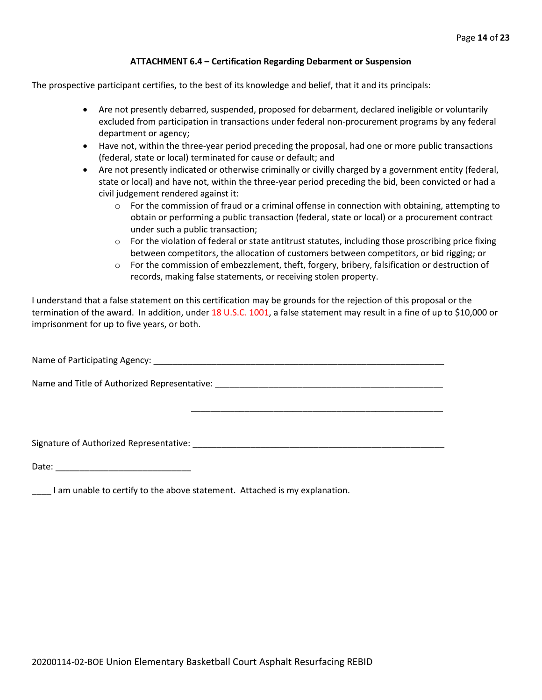#### **ATTACHMENT 6.4 – Certification Regarding Debarment or Suspension**

The prospective participant certifies, to the best of its knowledge and belief, that it and its principals:

- Are not presently debarred, suspended, proposed for debarment, declared ineligible or voluntarily excluded from participation in transactions under federal non-procurement programs by any federal department or agency;
- Have not, within the three-year period preceding the proposal, had one or more public transactions (federal, state or local) terminated for cause or default; and
- Are not presently indicated or otherwise criminally or civilly charged by a government entity (federal, state or local) and have not, within the three-year period preceding the bid, been convicted or had a civil judgement rendered against it:
	- $\circ$  For the commission of fraud or a criminal offense in connection with obtaining, attempting to obtain or performing a public transaction (federal, state or local) or a procurement contract under such a public transaction;
	- $\circ$  For the violation of federal or state antitrust statutes, including those proscribing price fixing between competitors, the allocation of customers between competitors, or bid rigging; or
	- $\circ$  For the commission of embezzlement, theft, forgery, bribery, falsification or destruction of records, making false statements, or receiving stolen property.

\_\_\_\_\_\_\_\_\_\_\_\_\_\_\_\_\_\_\_\_\_\_\_\_\_\_\_\_\_\_\_\_\_\_\_\_\_\_\_\_\_\_\_\_\_\_\_\_\_\_\_\_

I understand that a false statement on this certification may be grounds for the rejection of this proposal or the termination of the award. In addition, under 18 U.S.C. 1001, a false statement may result in a fine of up to \$10,000 or imprisonment for up to five years, or both.

Name of Participating Agency: \_\_\_\_\_\_\_\_\_\_\_\_\_\_\_\_\_\_\_\_\_\_\_\_\_\_\_\_\_\_\_\_\_\_\_\_\_\_\_\_\_\_\_\_\_\_\_\_\_\_\_\_\_\_\_\_\_\_\_\_

Name and Title of Authorized Representative: \_\_\_\_\_\_\_\_\_\_\_\_\_\_\_\_\_\_\_\_\_\_\_\_\_\_\_\_\_\_\_\_\_\_\_

Signature of Authorized Representative: \_\_\_\_\_\_\_\_\_\_\_\_\_\_\_\_\_\_\_\_\_\_\_\_\_\_\_\_\_\_\_\_\_\_\_\_\_\_\_\_\_\_\_\_\_\_\_\_\_\_\_\_

Date: \_\_\_\_\_\_\_\_\_\_\_\_\_\_\_\_\_\_\_\_\_\_\_\_\_\_\_\_

\_\_\_\_ I am unable to certify to the above statement. Attached is my explanation.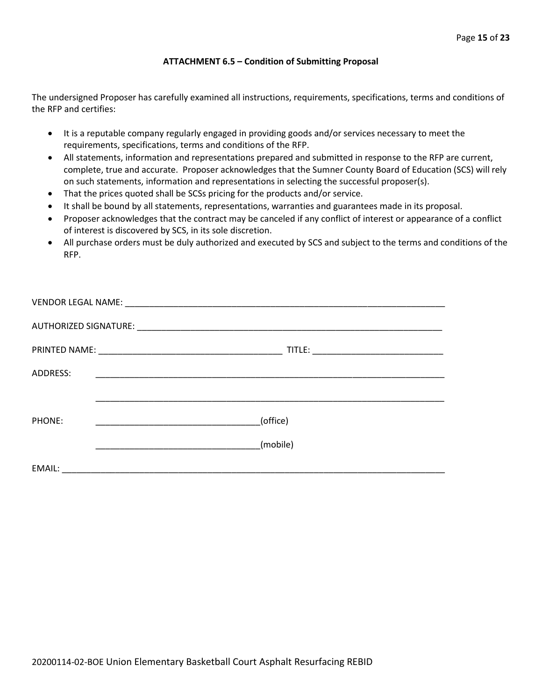#### **ATTACHMENT 6.5 – Condition of Submitting Proposal**

The undersigned Proposer has carefully examined all instructions, requirements, specifications, terms and conditions of the RFP and certifies:

- It is a reputable company regularly engaged in providing goods and/or services necessary to meet the requirements, specifications, terms and conditions of the RFP.
- All statements, information and representations prepared and submitted in response to the RFP are current, complete, true and accurate. Proposer acknowledges that the Sumner County Board of Education (SCS) will rely on such statements, information and representations in selecting the successful proposer(s).
- That the prices quoted shall be SCSs pricing for the products and/or service.
- It shall be bound by all statements, representations, warranties and guarantees made in its proposal.
- Proposer acknowledges that the contract may be canceled if any conflict of interest or appearance of a conflict of interest is discovered by SCS, in its sole discretion.
- All purchase orders must be duly authorized and executed by SCS and subject to the terms and conditions of the RFP.

| ADDRESS: |                                                                   |
|----------|-------------------------------------------------------------------|
|          |                                                                   |
| PHONE:   | (office)<br><u> 1989 - Johann Barbara, martxa alemani</u> ar arte |
|          | (mobile)                                                          |
| EMAIL:   |                                                                   |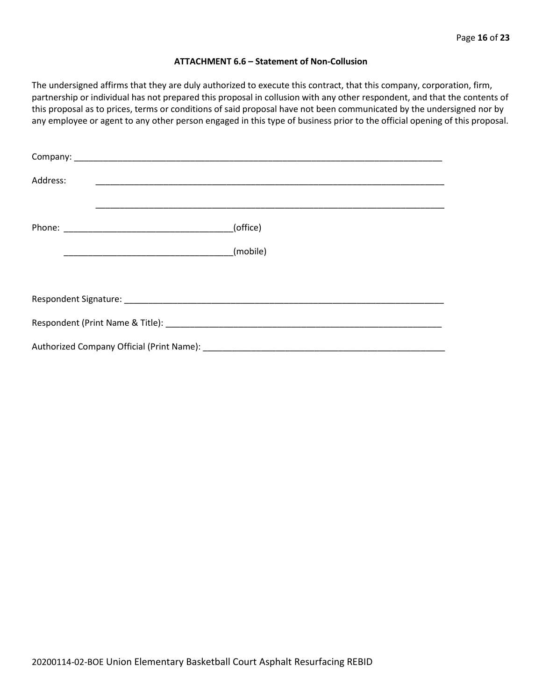#### **ATTACHMENT 6.6 – Statement of Non-Collusion**

The undersigned affirms that they are duly authorized to execute this contract, that this company, corporation, firm, partnership or individual has not prepared this proposal in collusion with any other respondent, and that the contents of this proposal as to prices, terms or conditions of said proposal have not been communicated by the undersigned nor by any employee or agent to any other person engaged in this type of business prior to the official opening of this proposal.

| Address: |          |
|----------|----------|
|          | (office) |
|          | (mobile) |
|          |          |
|          |          |
|          |          |
|          |          |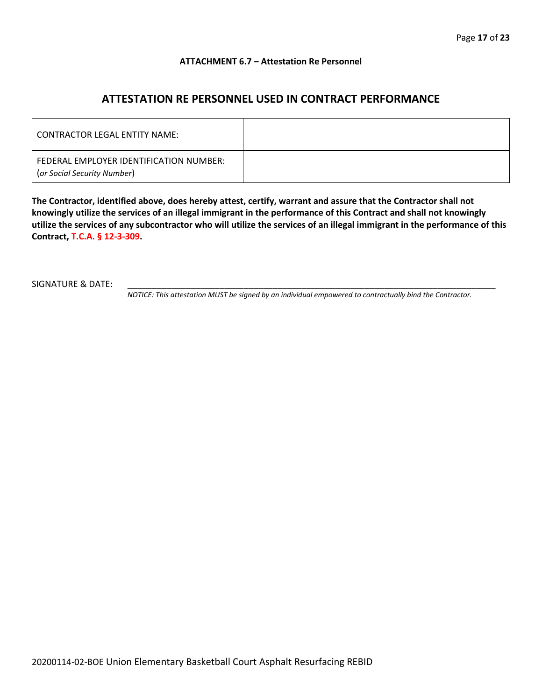#### **ATTACHMENT 6.7 – Attestation Re Personnel**

### **ATTESTATION RE PERSONNEL USED IN CONTRACT PERFORMANCE**

| CONTRACTOR LEGAL ENTITY NAME:                                          |  |
|------------------------------------------------------------------------|--|
| FEDERAL EMPLOYER IDENTIFICATION NUMBER:<br>(or Social Security Number) |  |

**The Contractor, identified above, does hereby attest, certify, warrant and assure that the Contractor shall not knowingly utilize the services of an illegal immigrant in the performance of this Contract and shall not knowingly utilize the services of any subcontractor who will utilize the services of an illegal immigrant in the performance of this Contract, T.C.A. § 12-3-309.**

SIGNATURE & DATE:

*NOTICE: This attestation MUST be signed by an individual empowered to contractually bind the Contractor.*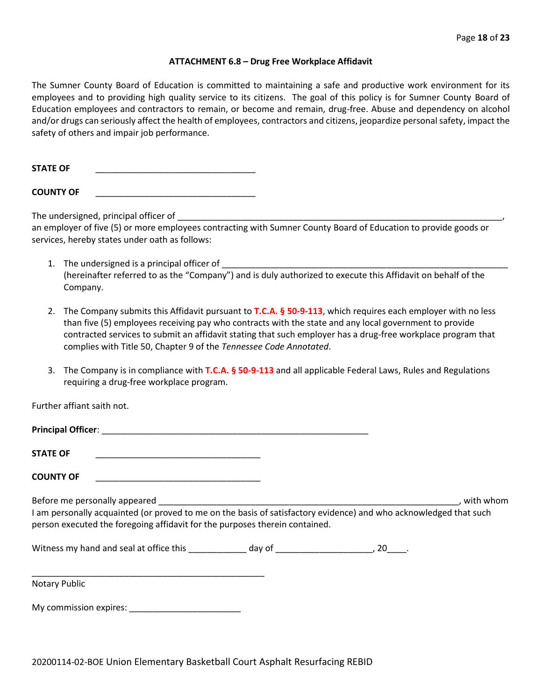#### **ATTACHMENT 6.8 – Drug Free Workplace Affidavit**

The Sumner County Board of Education is committed to maintaining a safe and productive work environment for its employees and to providing high quality service to its citizens. The goal of this policy is for Sumner County Board of Education employees and contractors to remain, or become and remain, drug-free. Abuse and dependency on alcohol and/or drugs can seriously affect the health of employees, contractors and citizens, jeopardize personal safety, impact the safety of others and impair job performance.

STATE OF

**COUNTY OF** \_\_\_\_\_\_\_\_\_\_\_\_\_\_\_\_\_\_\_\_\_\_\_\_\_\_\_\_\_\_\_\_\_

The undersigned, principal officer of

an employer of five (5) or more employees contracting with Sumner County Board of Education to provide goods or services, hereby states under oath as follows:

- 1. The undersigned is a principal officer of (hereinafter referred to as the "Company") and is duly authorized to execute this Affidavit on behalf of the Company.
- 2. The Company submits this Affidavit pursuant to **T.C.A. § 50-9-113**, which requires each employer with no less than five (5) employees receiving pay who contracts with the state and any local government to provide contracted services to submit an affidavit stating that such employer has a drug-free workplace program that complies with Title 50, Chapter 9 of the *Tennessee Code Annotated*.
- 3. The Company is in compliance with **T.C.A. § 50-9-113** and all applicable Federal Laws, Rules and Regulations requiring a drug-free workplace program.

Further affiant saith not.

| <b>Principal Officer:</b>     |           |
|-------------------------------|-----------|
| <b>STATE OF</b>               |           |
| <b>COUNTY OF</b>              |           |
| Before me personally appeared | with whom |

I am personally acquainted (or proved to me on the basis of satisfactory evidence) and who acknowledged that such person executed the foregoing affidavit for the purposes therein contained.

Witness my hand and seal at office this \_\_\_\_\_\_\_\_\_\_\_\_\_ day of \_\_\_\_\_\_\_\_\_\_\_\_\_\_\_\_\_\_\_\_, 20\_\_\_\_.

\_\_\_\_\_\_\_\_\_\_\_\_\_\_\_\_\_\_\_\_\_\_\_\_\_\_\_\_\_\_\_\_\_\_\_\_\_\_\_\_\_\_\_\_\_\_\_\_ Notary Public

My commission expires: \_\_\_\_\_\_\_\_\_\_\_\_\_\_\_\_\_\_\_\_\_\_\_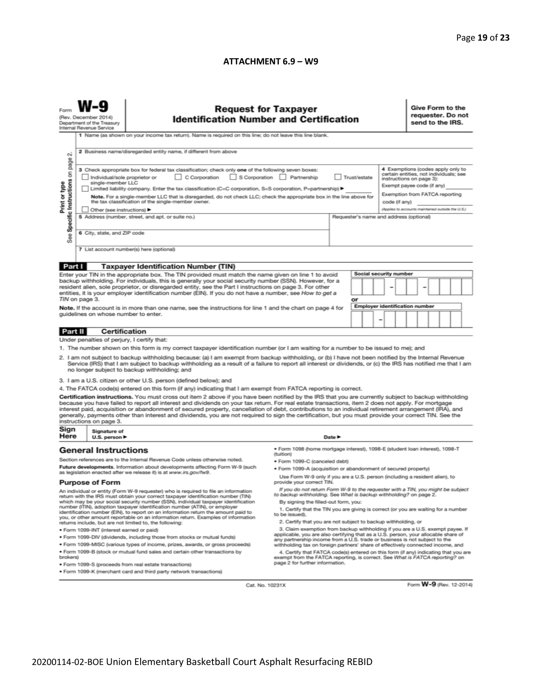#### **ATTACHMENT 6.9 – W9**

|                                                                                                                                                                                                                                                                                                                                                                                                                                                                                                                                                                                                                                                                  | <b>Request for Taxpayer</b><br><b>Identification Number and Certification</b><br>(Rev. December 2014)<br>Department of the Treasury<br>Internal Revenue Service                                                                                                                                                                                                                                                                                                                                                                                                   |                                                                                                                                                                                             |                                                                                                                                                                                                                                                        |                            |  |  |  |                                       |                                                                                                                                                                                                                              | Give Form to the<br>requester. Do not<br>send to the IRS. |  |  |                         |  |  |  |
|------------------------------------------------------------------------------------------------------------------------------------------------------------------------------------------------------------------------------------------------------------------------------------------------------------------------------------------------------------------------------------------------------------------------------------------------------------------------------------------------------------------------------------------------------------------------------------------------------------------------------------------------------------------|-------------------------------------------------------------------------------------------------------------------------------------------------------------------------------------------------------------------------------------------------------------------------------------------------------------------------------------------------------------------------------------------------------------------------------------------------------------------------------------------------------------------------------------------------------------------|---------------------------------------------------------------------------------------------------------------------------------------------------------------------------------------------|--------------------------------------------------------------------------------------------------------------------------------------------------------------------------------------------------------------------------------------------------------|----------------------------|--|--|--|---------------------------------------|------------------------------------------------------------------------------------------------------------------------------------------------------------------------------------------------------------------------------|-----------------------------------------------------------|--|--|-------------------------|--|--|--|
| 1 Name (as shown on your income tax return). Name is required on this line; do not leave this line blank.<br>2 Business name/disregarded entity name, if different from above<br>N                                                                                                                                                                                                                                                                                                                                                                                                                                                                               |                                                                                                                                                                                                                                                                                                                                                                                                                                                                                                                                                                   |                                                                                                                                                                                             |                                                                                                                                                                                                                                                        |                            |  |  |  |                                       |                                                                                                                                                                                                                              |                                                           |  |  |                         |  |  |  |
| Specific Instructions on page<br>Print or type                                                                                                                                                                                                                                                                                                                                                                                                                                                                                                                                                                                                                   | 3 Check appropriate box for federal tax classification; check only one of the following seven boxes:<br>C Corporation S Corporation Partnership<br>Trust/estate<br>Individual/sole proprietor or<br>single-member LLC<br>Limited liability company. Enter the tax classification (C=C corporation, S=S corporation, P=partnership) ▶<br>Note. For a single-member LLC that is disregarded, do not check LLC; check the appropriate box in the line above for<br>the tax classification of the single-member owner.<br>code (if any)<br>Other (see instructions) ▶ |                                                                                                                                                                                             |                                                                                                                                                                                                                                                        |                            |  |  |  |                                       | 4 Exemptions (codes apply only to<br>certain entities, not individuals; see<br>instructions on page 3):<br>Exempt payee code (if any)<br>Exemption from FATCA reporting<br>(Applies to accounts maintained outside the U.S.) |                                                           |  |  |                         |  |  |  |
| See                                                                                                                                                                                                                                                                                                                                                                                                                                                                                                                                                                                                                                                              | 5 Address (number, street, and apt. or suite no.)<br>Requester's name and address (optional)<br>6 City, state, and ZIP code                                                                                                                                                                                                                                                                                                                                                                                                                                       |                                                                                                                                                                                             |                                                                                                                                                                                                                                                        |                            |  |  |  |                                       |                                                                                                                                                                                                                              |                                                           |  |  |                         |  |  |  |
|                                                                                                                                                                                                                                                                                                                                                                                                                                                                                                                                                                                                                                                                  |                                                                                                                                                                                                                                                                                                                                                                                                                                                                                                                                                                   |                                                                                                                                                                                             | 7 List account number(s) here (optional)                                                                                                                                                                                                               |                            |  |  |  |                                       |                                                                                                                                                                                                                              |                                                           |  |  |                         |  |  |  |
| Part I                                                                                                                                                                                                                                                                                                                                                                                                                                                                                                                                                                                                                                                           |                                                                                                                                                                                                                                                                                                                                                                                                                                                                                                                                                                   |                                                                                                                                                                                             | <b>Taxpayer Identification Number (TIN)</b>                                                                                                                                                                                                            |                            |  |  |  |                                       |                                                                                                                                                                                                                              |                                                           |  |  |                         |  |  |  |
| Enter your TIN in the appropriate box. The TIN provided must match the name given on line 1 to avoid<br>backup withholding. For individuals, this is generally your social security number (SSN). However, for a<br>resident alien, sole proprietor, or disregarded entity, see the Part I instructions on page 3. For other<br>entities, it is your employer identification number (EIN). If you do not have a number, see How to get a<br>TIN on page 3.                                                                                                                                                                                                       |                                                                                                                                                                                                                                                                                                                                                                                                                                                                                                                                                                   |                                                                                                                                                                                             | <b>Social security number</b><br>or                                                                                                                                                                                                                    |                            |  |  |  |                                       |                                                                                                                                                                                                                              |                                                           |  |  |                         |  |  |  |
|                                                                                                                                                                                                                                                                                                                                                                                                                                                                                                                                                                                                                                                                  |                                                                                                                                                                                                                                                                                                                                                                                                                                                                                                                                                                   |                                                                                                                                                                                             |                                                                                                                                                                                                                                                        |                            |  |  |  | <b>Employer identification number</b> |                                                                                                                                                                                                                              |                                                           |  |  |                         |  |  |  |
|                                                                                                                                                                                                                                                                                                                                                                                                                                                                                                                                                                                                                                                                  |                                                                                                                                                                                                                                                                                                                                                                                                                                                                                                                                                                   |                                                                                                                                                                                             | Note. If the account is in more than one name, see the instructions for line 1 and the chart on page 4 for<br>guidelines on whose number to enter.                                                                                                     |                            |  |  |  | -                                     |                                                                                                                                                                                                                              |                                                           |  |  |                         |  |  |  |
| Part II                                                                                                                                                                                                                                                                                                                                                                                                                                                                                                                                                                                                                                                          |                                                                                                                                                                                                                                                                                                                                                                                                                                                                                                                                                                   | Certification                                                                                                                                                                               |                                                                                                                                                                                                                                                        |                            |  |  |  |                                       |                                                                                                                                                                                                                              |                                                           |  |  |                         |  |  |  |
|                                                                                                                                                                                                                                                                                                                                                                                                                                                                                                                                                                                                                                                                  |                                                                                                                                                                                                                                                                                                                                                                                                                                                                                                                                                                   |                                                                                                                                                                                             | Under penalties of perjury, I certify that:                                                                                                                                                                                                            |                            |  |  |  |                                       |                                                                                                                                                                                                                              |                                                           |  |  |                         |  |  |  |
|                                                                                                                                                                                                                                                                                                                                                                                                                                                                                                                                                                                                                                                                  |                                                                                                                                                                                                                                                                                                                                                                                                                                                                                                                                                                   |                                                                                                                                                                                             |                                                                                                                                                                                                                                                        |                            |  |  |  |                                       |                                                                                                                                                                                                                              |                                                           |  |  |                         |  |  |  |
| 1. The number shown on this form is my correct taxpayer identification number (or I am waiting for a number to be issued to me); and<br>2. I am not subject to backup withholding because: (a) I am exempt from backup withholding, or (b) I have not been notified by the Internal Revenue<br>Service (IRS) that I am subject to backup withholding as a result of a failure to report all interest or dividends, or (c) the IRS has notified me that I am<br>no longer subject to backup withholding; and                                                                                                                                                      |                                                                                                                                                                                                                                                                                                                                                                                                                                                                                                                                                                   |                                                                                                                                                                                             |                                                                                                                                                                                                                                                        |                            |  |  |  |                                       |                                                                                                                                                                                                                              |                                                           |  |  |                         |  |  |  |
|                                                                                                                                                                                                                                                                                                                                                                                                                                                                                                                                                                                                                                                                  |                                                                                                                                                                                                                                                                                                                                                                                                                                                                                                                                                                   |                                                                                                                                                                                             | 3. I am a U.S. citizen or other U.S. person (defined below); and                                                                                                                                                                                       |                            |  |  |  |                                       |                                                                                                                                                                                                                              |                                                           |  |  |                         |  |  |  |
|                                                                                                                                                                                                                                                                                                                                                                                                                                                                                                                                                                                                                                                                  |                                                                                                                                                                                                                                                                                                                                                                                                                                                                                                                                                                   |                                                                                                                                                                                             | 4. The FATCA code(s) entered on this form (if any) indicating that I am exempt from FATCA reporting is correct.                                                                                                                                        |                            |  |  |  |                                       |                                                                                                                                                                                                                              |                                                           |  |  |                         |  |  |  |
| Certification instructions. You must cross out item 2 above if you have been notified by the IRS that you are currently subject to backup withholding<br>because you have failed to report all interest and dividends on your tax return. For real estate transactions, item 2 does not apply. For mortgage<br>interest paid, acquisition or abandonment of secured property, cancellation of debt, contributions to an individual retirement arrangement (IRA), and<br>generally, payments other than interest and dividends, you are not required to sign the certification, but you must provide your correct TIN. See the<br>instructions on page 3.<br>Sign |                                                                                                                                                                                                                                                                                                                                                                                                                                                                                                                                                                   |                                                                                                                                                                                             |                                                                                                                                                                                                                                                        |                            |  |  |  |                                       |                                                                                                                                                                                                                              |                                                           |  |  |                         |  |  |  |
| Here                                                                                                                                                                                                                                                                                                                                                                                                                                                                                                                                                                                                                                                             |                                                                                                                                                                                                                                                                                                                                                                                                                                                                                                                                                                   | Signature of<br>U.S. person $\blacktriangleright$                                                                                                                                           |                                                                                                                                                                                                                                                        | Date $\blacktriangleright$ |  |  |  |                                       |                                                                                                                                                                                                                              |                                                           |  |  |                         |  |  |  |
| <b>General Instructions</b><br>Section references are to the Internal Revenue Code unless otherwise noted.                                                                                                                                                                                                                                                                                                                                                                                                                                                                                                                                                       |                                                                                                                                                                                                                                                                                                                                                                                                                                                                                                                                                                   |                                                                                                                                                                                             | · Form 1098 (home mortgage interest), 1098-E (student loan interest), 1098-T<br>(tuition)                                                                                                                                                              |                            |  |  |  |                                       |                                                                                                                                                                                                                              |                                                           |  |  |                         |  |  |  |
| Future developments. Information about developments affecting Form W-9 (such                                                                                                                                                                                                                                                                                                                                                                                                                                                                                                                                                                                     |                                                                                                                                                                                                                                                                                                                                                                                                                                                                                                                                                                   |                                                                                                                                                                                             | · Form 1099-C (canceled debt)<br>· Form 1099-A (acquisition or abandonment of secured property)                                                                                                                                                        |                            |  |  |  |                                       |                                                                                                                                                                                                                              |                                                           |  |  |                         |  |  |  |
|                                                                                                                                                                                                                                                                                                                                                                                                                                                                                                                                                                                                                                                                  |                                                                                                                                                                                                                                                                                                                                                                                                                                                                                                                                                                   |                                                                                                                                                                                             | as legislation enacted after we release it) is at www.irs.gov/fw9.                                                                                                                                                                                     |                            |  |  |  |                                       |                                                                                                                                                                                                                              |                                                           |  |  |                         |  |  |  |
| <b>Purpose of Form</b>                                                                                                                                                                                                                                                                                                                                                                                                                                                                                                                                                                                                                                           |                                                                                                                                                                                                                                                                                                                                                                                                                                                                                                                                                                   | Use Form W-9 only if you are a U.S. person (including a resident alien), to<br>provide your correct TIN.<br>If you do not return Form W-9 to the requester with a TIN, you might be subject |                                                                                                                                                                                                                                                        |                            |  |  |  |                                       |                                                                                                                                                                                                                              |                                                           |  |  |                         |  |  |  |
| An individual or entity (Form W-9 requester) who is required to file an information<br>return with the IRS must obtain your correct taxpayer identification number (TIN)                                                                                                                                                                                                                                                                                                                                                                                                                                                                                         |                                                                                                                                                                                                                                                                                                                                                                                                                                                                                                                                                                   | to backup withholding. See What is backup withholding? on page 2.                                                                                                                           |                                                                                                                                                                                                                                                        |                            |  |  |  |                                       |                                                                                                                                                                                                                              |                                                           |  |  |                         |  |  |  |
| which may be your social security number (SSN), individual taxpayer identification<br>number (ITIN), adoption taxpayer identification number (ATIN), or employer<br>identification number (EIN), to report on an information return the amount paid to<br>you, or other amount reportable on an information return. Examples of information                                                                                                                                                                                                                                                                                                                      |                                                                                                                                                                                                                                                                                                                                                                                                                                                                                                                                                                   | By signing the filled-out form, you:<br>1. Certify that the TIN you are giving is correct (or you are waiting for a number<br>to be issued).                                                |                                                                                                                                                                                                                                                        |                            |  |  |  |                                       |                                                                                                                                                                                                                              |                                                           |  |  |                         |  |  |  |
| returns include, but are not limited to, the following:                                                                                                                                                                                                                                                                                                                                                                                                                                                                                                                                                                                                          |                                                                                                                                                                                                                                                                                                                                                                                                                                                                                                                                                                   |                                                                                                                                                                                             | 2. Certify that you are not subject to backup withholding, or                                                                                                                                                                                          |                            |  |  |  |                                       |                                                                                                                                                                                                                              |                                                           |  |  |                         |  |  |  |
| · Form 1099-INT (interest earned or paid)<br>. Form 1099-DIV (dividends, including those from stocks or mutual funds)                                                                                                                                                                                                                                                                                                                                                                                                                                                                                                                                            |                                                                                                                                                                                                                                                                                                                                                                                                                                                                                                                                                                   |                                                                                                                                                                                             | 3. Claim exemption from backup withholding if you are a U.S. exempt payee. If<br>applicable, you are also certifying that as a U.S. person, your allocable share of<br>any partnership income from a U.S. trade or business is not subject to the      |                            |  |  |  |                                       |                                                                                                                                                                                                                              |                                                           |  |  |                         |  |  |  |
| . Form 1099-MISC (various types of income, prizes, awards, or gross proceeds)<br>. Form 1099-B (stock or mutual fund sales and certain other transactions by                                                                                                                                                                                                                                                                                                                                                                                                                                                                                                     |                                                                                                                                                                                                                                                                                                                                                                                                                                                                                                                                                                   |                                                                                                                                                                                             | withholding tax on foreign partners' share of effectively connected income, and<br>4. Certify that FATCA code(s) entered on this form (if any) indicating that you are<br>exempt from the FATCA reporting, is correct. See What is FATCA reporting? on |                            |  |  |  |                                       |                                                                                                                                                                                                                              |                                                           |  |  |                         |  |  |  |
| brokers)<br>· Form 1099-S (proceeds from real estate transactions)                                                                                                                                                                                                                                                                                                                                                                                                                                                                                                                                                                                               |                                                                                                                                                                                                                                                                                                                                                                                                                                                                                                                                                                   |                                                                                                                                                                                             | page 2 for further information.                                                                                                                                                                                                                        |                            |  |  |  |                                       |                                                                                                                                                                                                                              |                                                           |  |  |                         |  |  |  |
|                                                                                                                                                                                                                                                                                                                                                                                                                                                                                                                                                                                                                                                                  |                                                                                                                                                                                                                                                                                                                                                                                                                                                                                                                                                                   |                                                                                                                                                                                             | . Form 1099-K (merchant card and third party network transactions)                                                                                                                                                                                     |                            |  |  |  |                                       |                                                                                                                                                                                                                              |                                                           |  |  |                         |  |  |  |
|                                                                                                                                                                                                                                                                                                                                                                                                                                                                                                                                                                                                                                                                  |                                                                                                                                                                                                                                                                                                                                                                                                                                                                                                                                                                   |                                                                                                                                                                                             | Cat. No. 10231X                                                                                                                                                                                                                                        |                            |  |  |  |                                       |                                                                                                                                                                                                                              |                                                           |  |  | Form W-9 (Rev. 12-2014) |  |  |  |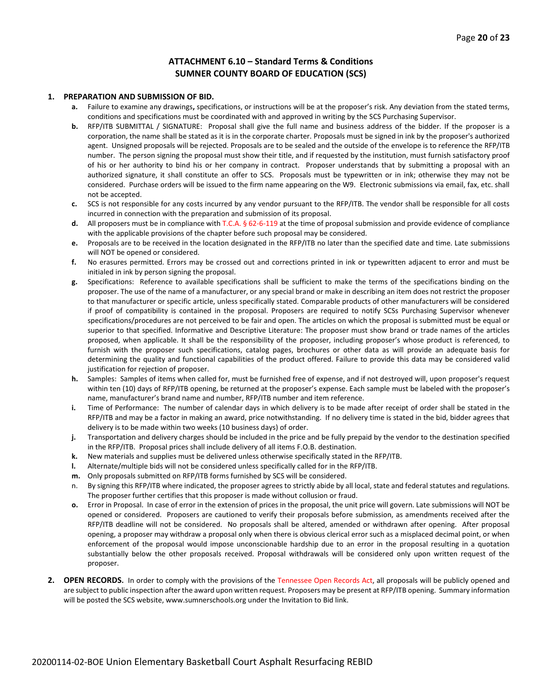#### **ATTACHMENT 6.10 – Standard Terms & Conditions SUMNER COUNTY BOARD OF EDUCATION (SCS)**

#### **1. PREPARATION AND SUBMISSION OF BID.**

- **a.** Failure to examine any drawings**,** specifications, or instructions will be at the proposer's risk. Any deviation from the stated terms, conditions and specifications must be coordinated with and approved in writing by the SCS Purchasing Supervisor.
- **b.** RFP/ITB SUBMITTAL / SIGNATURE: Proposal shall give the full name and business address of the bidder. If the proposer is a corporation, the name shall be stated as it is in the corporate charter. Proposals must be signed in ink by the proposer's authorized agent. Unsigned proposals will be rejected. Proposals are to be sealed and the outside of the envelope is to reference the RFP/ITB number. The person signing the proposal must show their title, and if requested by the institution, must furnish satisfactory proof of his or her authority to bind his or her company in contract. Proposer understands that by submitting a proposal with an authorized signature, it shall constitute an offer to SCS. Proposals must be typewritten or in ink; otherwise they may not be considered. Purchase orders will be issued to the firm name appearing on the W9. Electronic submissions via email, fax, etc. shall not be accepted.
- **c.** SCS is not responsible for any costs incurred by any vendor pursuant to the RFP/ITB. The vendor shall be responsible for all costs incurred in connection with the preparation and submission of its proposal.
- **d.** All proposers must be in compliance with T.C.A. § 62-6-119 at the time of proposal submission and provide evidence of compliance with the applicable provisions of the chapter before such proposal may be considered.
- **e.** Proposals are to be received in the location designated in the RFP/ITB no later than the specified date and time. Late submissions will NOT be opened or considered.
- **f.** No erasures permitted. Errors may be crossed out and corrections printed in ink or typewritten adjacent to error and must be initialed in ink by person signing the proposal.
- **g.** Specifications: Reference to available specifications shall be sufficient to make the terms of the specifications binding on the proposer. The use of the name of a manufacturer, or any special brand or make in describing an item does not restrict the proposer to that manufacturer or specific article, unless specifically stated. Comparable products of other manufacturers will be considered if proof of compatibility is contained in the proposal. Proposers are required to notify SCSs Purchasing Supervisor whenever specifications/procedures are not perceived to be fair and open. The articles on which the proposal is submitted must be equal or superior to that specified. Informative and Descriptive Literature: The proposer must show brand or trade names of the articles proposed, when applicable. It shall be the responsibility of the proposer, including proposer's whose product is referenced, to furnish with the proposer such specifications, catalog pages, brochures or other data as will provide an adequate basis for determining the quality and functional capabilities of the product offered. Failure to provide this data may be considered valid justification for rejection of proposer.
- **h.** Samples: Samples of items when called for, must be furnished free of expense, and if not destroyed will, upon proposer's request within ten (10) days of RFP/ITB opening, be returned at the proposer's expense. Each sample must be labeled with the proposer's name, manufacturer's brand name and number, RFP/ITB number and item reference.
- **i.** Time of Performance: The number of calendar days in which delivery is to be made after receipt of order shall be stated in the RFP/ITB and may be a factor in making an award, price notwithstanding. If no delivery time is stated in the bid, bidder agrees that delivery is to be made within two weeks (10 business days) of order.
- **j.** Transportation and delivery charges should be included in the price and be fully prepaid by the vendor to the destination specified in the RFP/ITB. Proposal prices shall include delivery of all items F.O.B. destination.
- **k.** New materials and supplies must be delivered unless otherwise specifically stated in the RFP/ITB.
- **l.** Alternate/multiple bids will not be considered unless specifically called for in the RFP/ITB.
- **m.** Only proposals submitted on RFP/ITB forms furnished by SCS will be considered.
- n. By signing this RFP/ITB where indicated, the proposer agrees to strictly abide by all local, state and federal statutes and regulations. The proposer further certifies that this proposer is made without collusion or fraud.
- **o.** Error in Proposal. In case of error in the extension of prices in the proposal, the unit price will govern. Late submissions will NOT be opened or considered. Proposers are cautioned to verify their proposals before submission, as amendments received after the RFP/ITB deadline will not be considered. No proposals shall be altered, amended or withdrawn after opening. After proposal opening, a proposer may withdraw a proposal only when there is obvious clerical error such as a misplaced decimal point, or when enforcement of the proposal would impose unconscionable hardship due to an error in the proposal resulting in a quotation substantially below the other proposals received. Proposal withdrawals will be considered only upon written request of the proposer.
- **2. OPEN RECORDS.** In order to comply with the provisions of the Tennessee Open Records Act, all proposals will be publicly opened and are subject to public inspection after the award upon written request. Proposers may be present at RFP/ITB opening. Summary information will be posted the SCS website, www.sumnerschools.org under the Invitation to Bid link.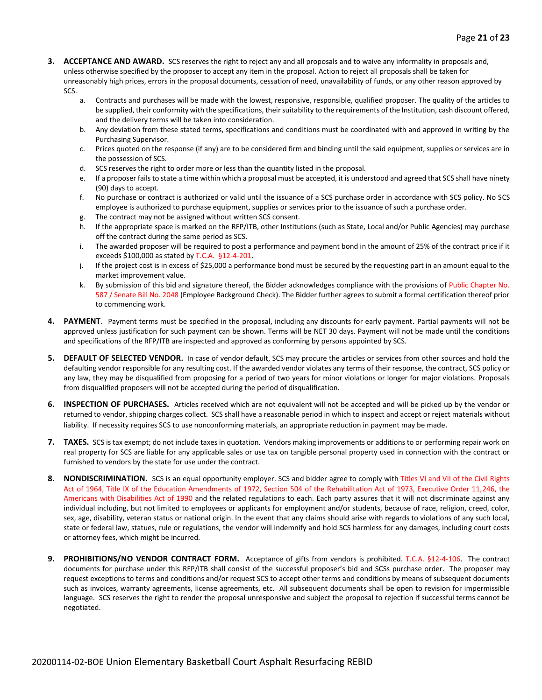- **3. ACCEPTANCE AND AWARD.** SCS reserves the right to reject any and all proposals and to waive any informality in proposals and, unless otherwise specified by the proposer to accept any item in the proposal. Action to reject all proposals shall be taken for unreasonably high prices, errors in the proposal documents, cessation of need, unavailability of funds, or any other reason approved by SCS.
	- a. Contracts and purchases will be made with the lowest, responsive, responsible, qualified proposer. The quality of the articles to be supplied, their conformity with the specifications, their suitability to the requirements of the Institution, cash discount offered, and the delivery terms will be taken into consideration.
	- b. Any deviation from these stated terms, specifications and conditions must be coordinated with and approved in writing by the Purchasing Supervisor.
	- c. Prices quoted on the response (if any) are to be considered firm and binding until the said equipment, supplies or services are in the possession of SCS.
	- d. SCS reserves the right to order more or less than the quantity listed in the proposal.
	- e. If a proposer fails to state a time within which a proposal must be accepted, it is understood and agreed that SCS shall have ninety (90) days to accept.
	- f. No purchase or contract is authorized or valid until the issuance of a SCS purchase order in accordance with SCS policy. No SCS employee is authorized to purchase equipment, supplies or services prior to the issuance of such a purchase order.
	- g. The contract may not be assigned without written SCS consent.
	- h. If the appropriate space is marked on the RFP/ITB, other Institutions (such as State, Local and/or Public Agencies) may purchase off the contract during the same period as SCS.
	- i. The awarded proposer will be required to post a performance and payment bond in the amount of 25% of the contract price if it exceeds \$100,000 as stated by T.C.A. §12-4-201.
	- j. If the project cost is in excess of \$25,000 a performance bond must be secured by the requesting part in an amount equal to the market improvement value.
	- k. By submission of this bid and signature thereof, the Bidder acknowledges compliance with the provisions of Public Chapter No. 587 / Senate Bill No. 2048 (Employee Background Check). The Bidder further agrees to submit a formal certification thereof prior to commencing work.
- **4. PAYMENT**. Payment terms must be specified in the proposal, including any discounts for early payment. Partial payments will not be approved unless justification for such payment can be shown. Terms will be NET 30 days. Payment will not be made until the conditions and specifications of the RFP/ITB are inspected and approved as conforming by persons appointed by SCS.
- **5. DEFAULT OF SELECTED VENDOR.** In case of vendor default, SCS may procure the articles or services from other sources and hold the defaulting vendor responsible for any resulting cost. If the awarded vendor violates any terms of their response, the contract, SCS policy or any law, they may be disqualified from proposing for a period of two years for minor violations or longer for major violations. Proposals from disqualified proposers will not be accepted during the period of disqualification.
- **6. INSPECTION OF PURCHASES.** Articles received which are not equivalent will not be accepted and will be picked up by the vendor or returned to vendor, shipping charges collect. SCS shall have a reasonable period in which to inspect and accept or reject materials without liability. If necessity requires SCS to use nonconforming materials, an appropriate reduction in payment may be made.
- **7. TAXES.** SCS is tax exempt; do not include taxes in quotation. Vendors making improvements or additions to or performing repair work on real property for SCS are liable for any applicable sales or use tax on tangible personal property used in connection with the contract or furnished to vendors by the state for use under the contract.
- **8. NONDISCRIMINATION.** SCS is an equal opportunity employer. SCS and bidder agree to comply with Titles VI and VII of the Civil Rights Act of 1964, Title IX of the Education Amendments of 1972, Section 504 of the Rehabilitation Act of 1973, Executive Order 11,246, the Americans with Disabilities Act of 1990 and the related regulations to each. Each party assures that it will not discriminate against any individual including, but not limited to employees or applicants for employment and/or students, because of race, religion, creed, color, sex, age, disability, veteran status or national origin. In the event that any claims should arise with regards to violations of any such local, state or federal law, statues, rule or regulations, the vendor will indemnify and hold SCS harmless for any damages, including court costs or attorney fees, which might be incurred.
- **9. PROHIBITIONS/NO VENDOR CONTRACT FORM.** Acceptance of gifts from vendors is prohibited. T.C.A. §12-4-106. The contract documents for purchase under this RFP/ITB shall consist of the successful proposer's bid and SCSs purchase order. The proposer may request exceptions to terms and conditions and/or request SCS to accept other terms and conditions by means of subsequent documents such as invoices, warranty agreements, license agreements, etc. All subsequent documents shall be open to revision for impermissible language. SCS reserves the right to render the proposal unresponsive and subject the proposal to rejection if successful terms cannot be negotiated.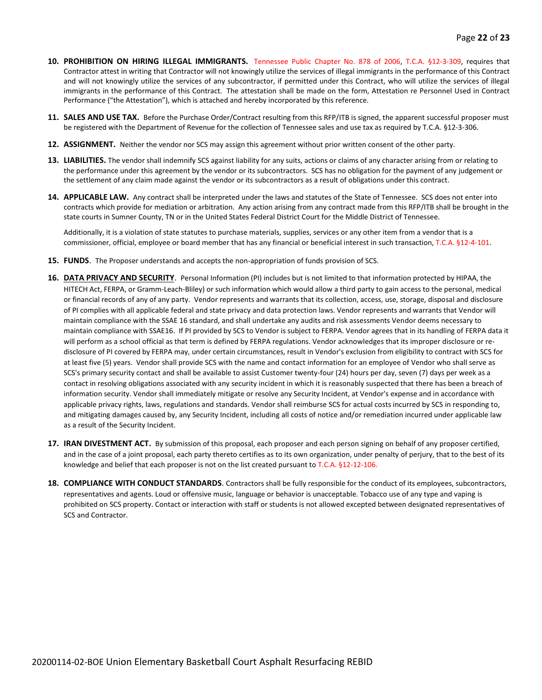- **10. PROHIBITION ON HIRING ILLEGAL IMMIGRANTS.** Tennessee Public Chapter No. 878 of 2006, T.C.A. §12-3-309, requires that Contractor attest in writing that Contractor will not knowingly utilize the services of illegal immigrants in the performance of this Contract and will not knowingly utilize the services of any subcontractor, if permitted under this Contract, who will utilize the services of illegal immigrants in the performance of this Contract. The attestation shall be made on the form, Attestation re Personnel Used in Contract Performance ("the Attestation"), which is attached and hereby incorporated by this reference.
- **11. SALES AND USE TAX.** Before the Purchase Order/Contract resulting from this RFP/ITB is signed, the apparent successful proposer must be registered with the Department of Revenue for the collection of Tennessee sales and use tax as required by T.C.A. §12-3-306.
- **12. ASSIGNMENT.** Neither the vendor nor SCS may assign this agreement without prior written consent of the other party.
- **13. LIABILITIES.** The vendor shall indemnify SCS against liability for any suits, actions or claims of any character arising from or relating to the performance under this agreement by the vendor or its subcontractors. SCS has no obligation for the payment of any judgement or the settlement of any claim made against the vendor or its subcontractors as a result of obligations under this contract.
- **14. APPLICABLE LAW.** Any contract shall be interpreted under the laws and statutes of the State of Tennessee. SCS does not enter into contracts which provide for mediation or arbitration. Any action arising from any contract made from this RFP/ITB shall be brought in the state courts in Sumner County, TN or in the United States Federal District Court for the Middle District of Tennessee.

Additionally, it is a violation of state statutes to purchase materials, supplies, services or any other item from a vendor that is a commissioner, official, employee or board member that has any financial or beneficial interest in such transaction, T.C.A. §12-4-101.

- **15. FUNDS**. The Proposer understands and accepts the non-appropriation of funds provision of SCS.
- **16. DATA PRIVACY AND SECURITY**. Personal Information (PI) includes but is not limited to that information protected by HIPAA, the HITECH Act, FERPA, or Gramm-Leach-Bliley) or such information which would allow a third party to gain access to the personal, medical or financial records of any of any party. Vendor represents and warrants that its collection, access, use, storage, disposal and disclosure of PI complies with all applicable federal and state privacy and data protection laws. Vendor represents and warrants that Vendor will maintain compliance with the SSAE 16 standard, and shall undertake any audits and risk assessments Vendor deems necessary to maintain compliance with SSAE16. If PI provided by SCS to Vendor is subject to FERPA. Vendor agrees that in its handling of FERPA data it will perform as a school official as that term is defined by FERPA regulations. Vendor acknowledges that its improper disclosure or redisclosure of PI covered by FERPA may, under certain circumstances, result in Vendor's exclusion from eligibility to contract with SCS for at least five (5) years. Vendor shall provide SCS with the name and contact information for an employee of Vendor who shall serve as SCS's primary security contact and shall be available to assist Customer twenty-four (24) hours per day, seven (7) days per week as a contact in resolving obligations associated with any security incident in which it is reasonably suspected that there has been a breach of information security. Vendor shall immediately mitigate or resolve any Security Incident, at Vendor's expense and in accordance with applicable privacy rights, laws, regulations and standards. Vendor shall reimburse SCS for actual costs incurred by SCS in responding to, and mitigating damages caused by, any Security Incident, including all costs of notice and/or remediation incurred under applicable law as a result of the Security Incident.
- **17. IRAN DIVESTMENT ACT.** By submission of this proposal, each proposer and each person signing on behalf of any proposer certified, and in the case of a joint proposal, each party thereto certifies as to its own organization, under penalty of perjury, that to the best of its knowledge and belief that each proposer is not on the list created pursuant to T.C.A. §12-12-106.
- **18. COMPLIANCE WITH CONDUCT STANDARDS**. Contractors shall be fully responsible for the conduct of its employees, subcontractors, representatives and agents. Loud or offensive music, language or behavior is unacceptable. Tobacco use of any type and vaping is prohibited on SCS property. Contact or interaction with staff or students is not allowed excepted between designated representatives of SCS and Contractor.